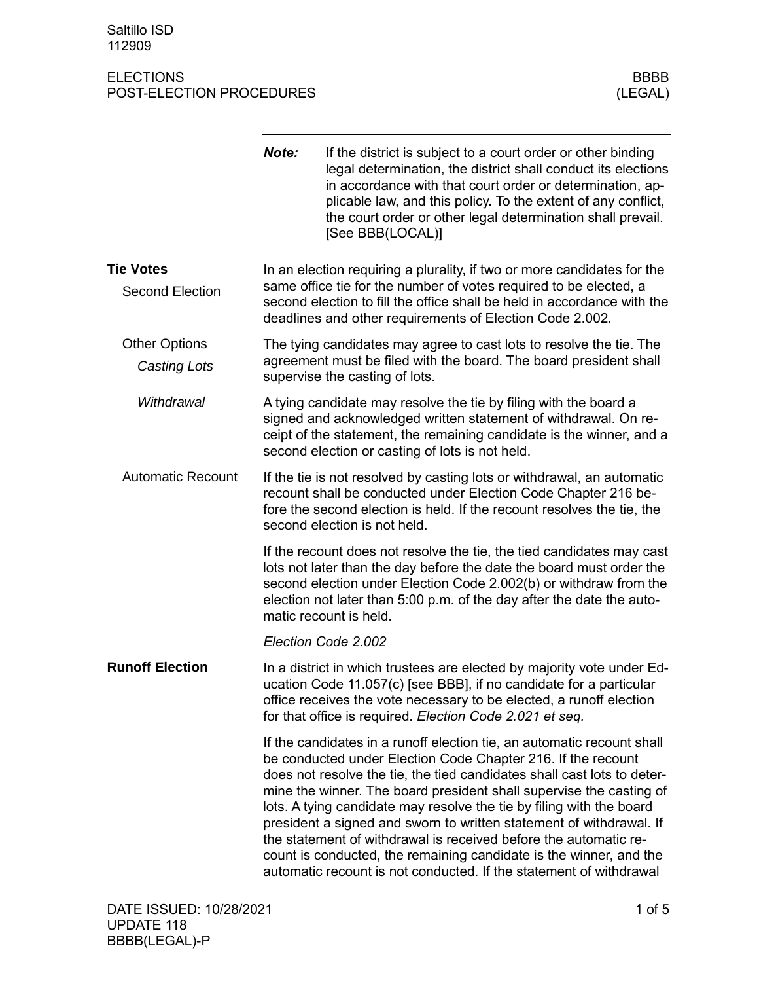|                          | Note:                                                                                                                                                                                                                                                          | If the district is subject to a court order or other binding<br>legal determination, the district shall conduct its elections<br>in accordance with that court order or determination, ap-<br>plicable law, and this policy. To the extent of any conflict,<br>the court order or other legal determination shall prevail.<br>[See BBB(LOCAL)]                                                                                                                                                                                                                                                                                                          |  |
|--------------------------|----------------------------------------------------------------------------------------------------------------------------------------------------------------------------------------------------------------------------------------------------------------|---------------------------------------------------------------------------------------------------------------------------------------------------------------------------------------------------------------------------------------------------------------------------------------------------------------------------------------------------------------------------------------------------------------------------------------------------------------------------------------------------------------------------------------------------------------------------------------------------------------------------------------------------------|--|
| <b>Tie Votes</b>         |                                                                                                                                                                                                                                                                | In an election requiring a plurality, if two or more candidates for the                                                                                                                                                                                                                                                                                                                                                                                                                                                                                                                                                                                 |  |
| <b>Second Election</b>   | same office tie for the number of votes required to be elected, a<br>second election to fill the office shall be held in accordance with the<br>deadlines and other requirements of Election Code 2.002.                                                       |                                                                                                                                                                                                                                                                                                                                                                                                                                                                                                                                                                                                                                                         |  |
| <b>Other Options</b>     | The tying candidates may agree to cast lots to resolve the tie. The                                                                                                                                                                                            |                                                                                                                                                                                                                                                                                                                                                                                                                                                                                                                                                                                                                                                         |  |
| Casting Lots             | agreement must be filed with the board. The board president shall<br>supervise the casting of lots.                                                                                                                                                            |                                                                                                                                                                                                                                                                                                                                                                                                                                                                                                                                                                                                                                                         |  |
| Withdrawal               | A tying candidate may resolve the tie by filing with the board a<br>signed and acknowledged written statement of withdrawal. On re-<br>ceipt of the statement, the remaining candidate is the winner, and a<br>second election or casting of lots is not held. |                                                                                                                                                                                                                                                                                                                                                                                                                                                                                                                                                                                                                                                         |  |
| <b>Automatic Recount</b> |                                                                                                                                                                                                                                                                | If the tie is not resolved by casting lots or withdrawal, an automatic<br>recount shall be conducted under Election Code Chapter 216 be-<br>fore the second election is held. If the recount resolves the tie, the<br>second election is not held.                                                                                                                                                                                                                                                                                                                                                                                                      |  |
|                          |                                                                                                                                                                                                                                                                | If the recount does not resolve the tie, the tied candidates may cast<br>lots not later than the day before the date the board must order the<br>second election under Election Code 2.002(b) or withdraw from the<br>election not later than 5:00 p.m. of the day after the date the auto-<br>matic recount is held.                                                                                                                                                                                                                                                                                                                                   |  |
|                          |                                                                                                                                                                                                                                                                | Election Code 2.002                                                                                                                                                                                                                                                                                                                                                                                                                                                                                                                                                                                                                                     |  |
| <b>Runoff Election</b>   |                                                                                                                                                                                                                                                                | In a district in which trustees are elected by majority vote under Ed-<br>ucation Code 11.057(c) [see BBB], if no candidate for a particular<br>office receives the vote necessary to be elected, a runoff election<br>for that office is required. Election Code 2.021 et seq.                                                                                                                                                                                                                                                                                                                                                                         |  |
|                          |                                                                                                                                                                                                                                                                | If the candidates in a runoff election tie, an automatic recount shall<br>be conducted under Election Code Chapter 216. If the recount<br>does not resolve the tie, the tied candidates shall cast lots to deter-<br>mine the winner. The board president shall supervise the casting of<br>lots. A tying candidate may resolve the tie by filing with the board<br>president a signed and sworn to written statement of withdrawal. If<br>the statement of withdrawal is received before the automatic re-<br>count is conducted, the remaining candidate is the winner, and the<br>automatic recount is not conducted. If the statement of withdrawal |  |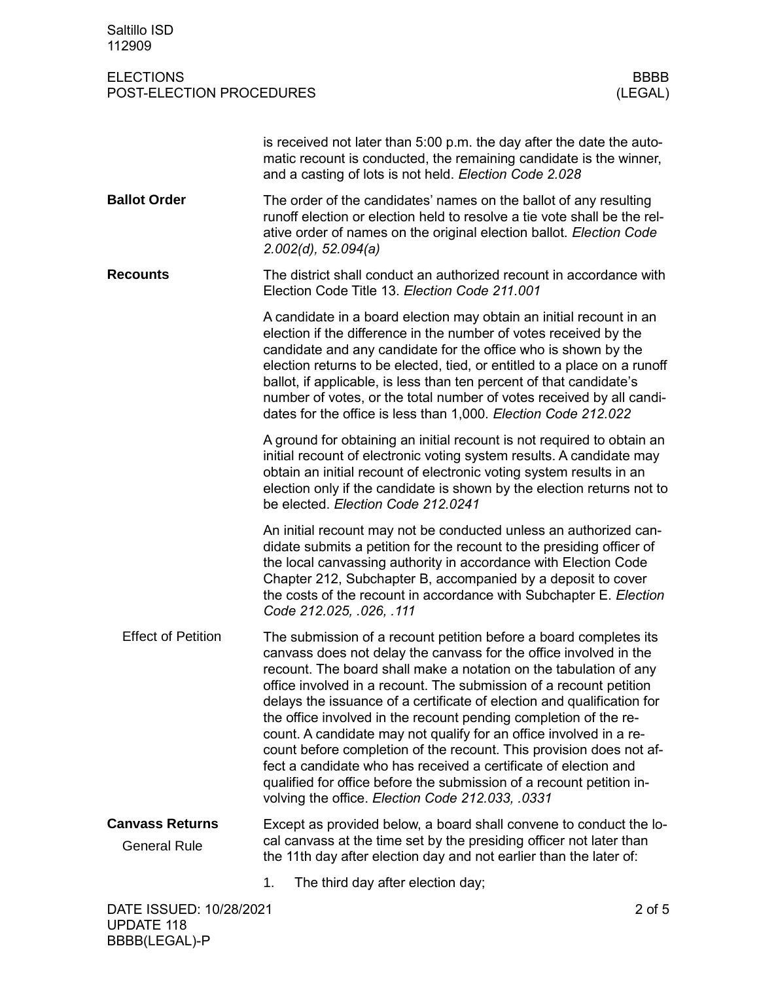| Saltillo ISD<br>112909                        |                                                                                                                                                                                                                                                                                                                                                                                                                                                                                                                                                                                                                                                                                                                                                                             |                        |
|-----------------------------------------------|-----------------------------------------------------------------------------------------------------------------------------------------------------------------------------------------------------------------------------------------------------------------------------------------------------------------------------------------------------------------------------------------------------------------------------------------------------------------------------------------------------------------------------------------------------------------------------------------------------------------------------------------------------------------------------------------------------------------------------------------------------------------------------|------------------------|
| <b>ELECTIONS</b><br>POST-ELECTION PROCEDURES  |                                                                                                                                                                                                                                                                                                                                                                                                                                                                                                                                                                                                                                                                                                                                                                             | <b>BBBB</b><br>(LEGAL) |
|                                               | is received not later than 5:00 p.m. the day after the date the auto-<br>matic recount is conducted, the remaining candidate is the winner,<br>and a casting of lots is not held. Election Code 2.028                                                                                                                                                                                                                                                                                                                                                                                                                                                                                                                                                                       |                        |
| <b>Ballot Order</b>                           | The order of the candidates' names on the ballot of any resulting<br>runoff election or election held to resolve a tie vote shall be the rel-<br>ative order of names on the original election ballot. Election Code<br>2.002(d), 52.094(a)                                                                                                                                                                                                                                                                                                                                                                                                                                                                                                                                 |                        |
| <b>Recounts</b>                               | The district shall conduct an authorized recount in accordance with<br>Election Code Title 13. Election Code 211.001                                                                                                                                                                                                                                                                                                                                                                                                                                                                                                                                                                                                                                                        |                        |
|                                               | A candidate in a board election may obtain an initial recount in an<br>election if the difference in the number of votes received by the<br>candidate and any candidate for the office who is shown by the<br>election returns to be elected, tied, or entitled to a place on a runoff<br>ballot, if applicable, is less than ten percent of that candidate's<br>number of votes, or the total number of votes received by all candi-<br>dates for the office is less than 1,000. Election Code 212.022                                                                                                                                                                                                                                                                     |                        |
|                                               | A ground for obtaining an initial recount is not required to obtain an<br>initial recount of electronic voting system results. A candidate may<br>obtain an initial recount of electronic voting system results in an<br>election only if the candidate is shown by the election returns not to<br>be elected. Election Code 212.0241                                                                                                                                                                                                                                                                                                                                                                                                                                       |                        |
|                                               | An initial recount may not be conducted unless an authorized can-<br>didate submits a petition for the recount to the presiding officer of<br>the local canvassing authority in accordance with Election Code<br>Chapter 212, Subchapter B, accompanied by a deposit to cover<br>the costs of the recount in accordance with Subchapter E. Election<br>Code 212.025, .026, .111                                                                                                                                                                                                                                                                                                                                                                                             |                        |
| <b>Effect of Petition</b>                     | The submission of a recount petition before a board completes its<br>canvass does not delay the canvass for the office involved in the<br>recount. The board shall make a notation on the tabulation of any<br>office involved in a recount. The submission of a recount petition<br>delays the issuance of a certificate of election and qualification for<br>the office involved in the recount pending completion of the re-<br>count. A candidate may not qualify for an office involved in a re-<br>count before completion of the recount. This provision does not af-<br>fect a candidate who has received a certificate of election and<br>qualified for office before the submission of a recount petition in-<br>volving the office. Election Code 212.033, .0331 |                        |
| <b>Canvass Returns</b><br><b>General Rule</b> | Except as provided below, a board shall convene to conduct the lo-<br>cal canvass at the time set by the presiding officer not later than<br>the 11th day after election day and not earlier than the later of:                                                                                                                                                                                                                                                                                                                                                                                                                                                                                                                                                             |                        |
|                                               | 1.<br>The third day after election day;                                                                                                                                                                                                                                                                                                                                                                                                                                                                                                                                                                                                                                                                                                                                     |                        |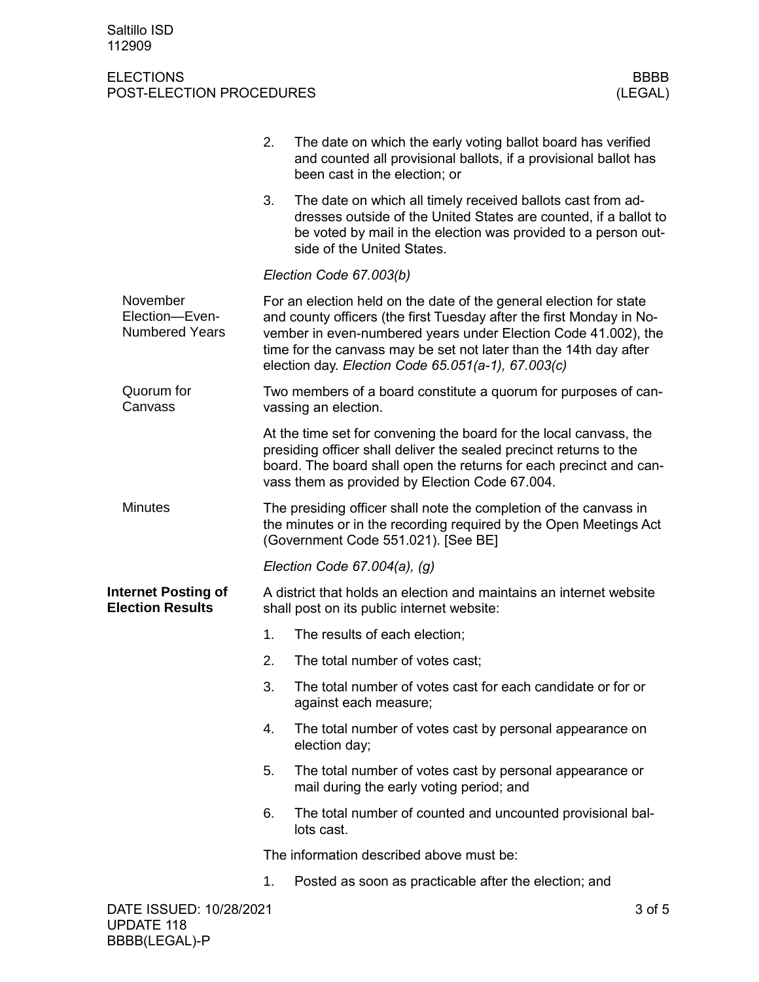|                                                       | 2.                                                                                                                                                                                                                                                                                                                                      | The date on which the early voting ballot board has verified<br>and counted all provisional ballots, if a provisional ballot has<br>been cast in the election; or                                                                                                |        |  |
|-------------------------------------------------------|-----------------------------------------------------------------------------------------------------------------------------------------------------------------------------------------------------------------------------------------------------------------------------------------------------------------------------------------|------------------------------------------------------------------------------------------------------------------------------------------------------------------------------------------------------------------------------------------------------------------|--------|--|
|                                                       | 3.                                                                                                                                                                                                                                                                                                                                      | The date on which all timely received ballots cast from ad-<br>dresses outside of the United States are counted, if a ballot to<br>be voted by mail in the election was provided to a person out-<br>side of the United States.                                  |        |  |
|                                                       |                                                                                                                                                                                                                                                                                                                                         | Election Code 67.003(b)                                                                                                                                                                                                                                          |        |  |
| November<br>Election-Even-<br><b>Numbered Years</b>   | For an election held on the date of the general election for state<br>and county officers (the first Tuesday after the first Monday in No-<br>vember in even-numbered years under Election Code 41.002), the<br>time for the canvass may be set not later than the 14th day after<br>election day. Election Code 65.051(a-1), 67.003(c) |                                                                                                                                                                                                                                                                  |        |  |
| Quorum for<br>Canvass                                 |                                                                                                                                                                                                                                                                                                                                         | Two members of a board constitute a quorum for purposes of can-<br>vassing an election.                                                                                                                                                                          |        |  |
|                                                       |                                                                                                                                                                                                                                                                                                                                         | At the time set for convening the board for the local canvass, the<br>presiding officer shall deliver the sealed precinct returns to the<br>board. The board shall open the returns for each precinct and can-<br>vass them as provided by Election Code 67.004. |        |  |
| <b>Minutes</b>                                        | The presiding officer shall note the completion of the canvass in<br>the minutes or in the recording required by the Open Meetings Act<br>(Government Code 551.021). [See BE]                                                                                                                                                           |                                                                                                                                                                                                                                                                  |        |  |
|                                                       |                                                                                                                                                                                                                                                                                                                                         | Election Code $67.004(a)$ , (g)                                                                                                                                                                                                                                  |        |  |
| <b>Internet Posting of</b><br><b>Election Results</b> |                                                                                                                                                                                                                                                                                                                                         | A district that holds an election and maintains an internet website<br>shall post on its public internet website:                                                                                                                                                |        |  |
|                                                       | 1.                                                                                                                                                                                                                                                                                                                                      | The results of each election;                                                                                                                                                                                                                                    |        |  |
|                                                       | 2.                                                                                                                                                                                                                                                                                                                                      | The total number of votes cast;                                                                                                                                                                                                                                  |        |  |
|                                                       | 3.                                                                                                                                                                                                                                                                                                                                      | The total number of votes cast for each candidate or for or<br>against each measure;                                                                                                                                                                             |        |  |
|                                                       | 4.                                                                                                                                                                                                                                                                                                                                      | The total number of votes cast by personal appearance on<br>election day;                                                                                                                                                                                        |        |  |
|                                                       | 5.                                                                                                                                                                                                                                                                                                                                      | The total number of votes cast by personal appearance or<br>mail during the early voting period; and                                                                                                                                                             |        |  |
|                                                       | 6.                                                                                                                                                                                                                                                                                                                                      | The total number of counted and uncounted provisional bal-<br>lots cast.                                                                                                                                                                                         |        |  |
|                                                       |                                                                                                                                                                                                                                                                                                                                         | The information described above must be:                                                                                                                                                                                                                         |        |  |
|                                                       | 1.                                                                                                                                                                                                                                                                                                                                      | Posted as soon as practicable after the election; and                                                                                                                                                                                                            |        |  |
| DATE ISSUED: 10/28/2021                               |                                                                                                                                                                                                                                                                                                                                         |                                                                                                                                                                                                                                                                  | 3 of 5 |  |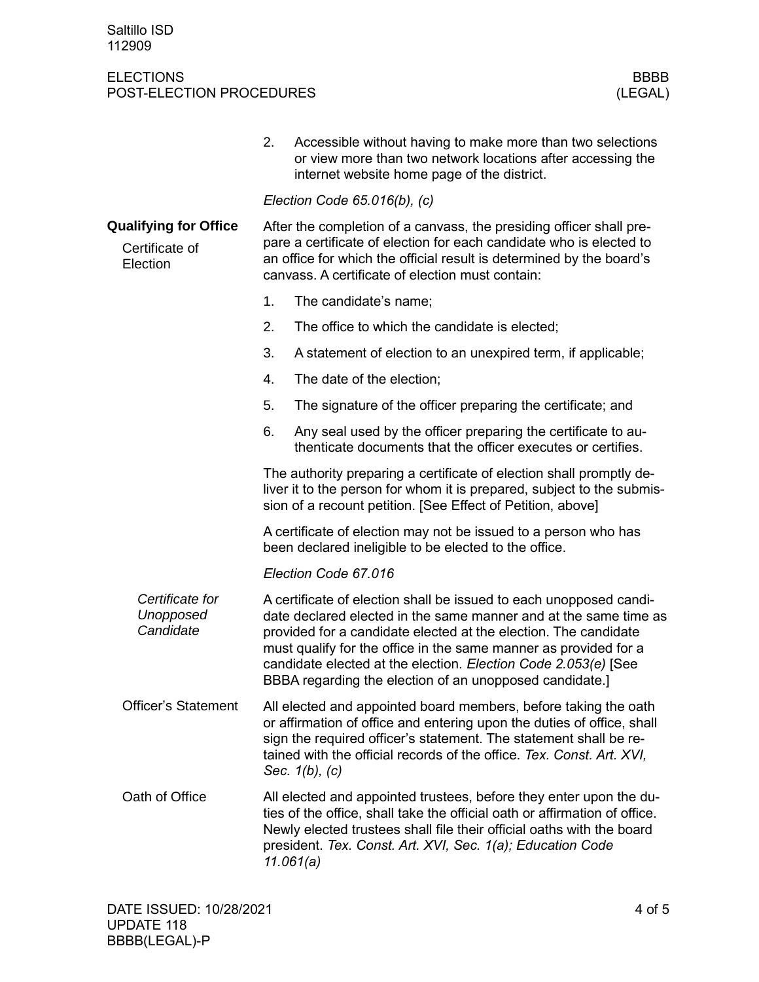|                                                            | 2. | Accessible without having to make more than two selections<br>or view more than two network locations after accessing the<br>internet website home page of the district.                                                                                                                                                                                                                                   |  |  |
|------------------------------------------------------------|----|------------------------------------------------------------------------------------------------------------------------------------------------------------------------------------------------------------------------------------------------------------------------------------------------------------------------------------------------------------------------------------------------------------|--|--|
|                                                            |    | Election Code $65.016(b)$ , (c)                                                                                                                                                                                                                                                                                                                                                                            |  |  |
| <b>Qualifying for Office</b><br>Certificate of<br>Election |    | After the completion of a canvass, the presiding officer shall pre-<br>pare a certificate of election for each candidate who is elected to<br>an office for which the official result is determined by the board's<br>canvass. A certificate of election must contain:                                                                                                                                     |  |  |
|                                                            | 1. | The candidate's name;                                                                                                                                                                                                                                                                                                                                                                                      |  |  |
|                                                            | 2. | The office to which the candidate is elected;                                                                                                                                                                                                                                                                                                                                                              |  |  |
|                                                            | 3. | A statement of election to an unexpired term, if applicable;                                                                                                                                                                                                                                                                                                                                               |  |  |
|                                                            | 4. | The date of the election;                                                                                                                                                                                                                                                                                                                                                                                  |  |  |
|                                                            | 5. | The signature of the officer preparing the certificate; and                                                                                                                                                                                                                                                                                                                                                |  |  |
|                                                            | 6. | Any seal used by the officer preparing the certificate to au-<br>thenticate documents that the officer executes or certifies.                                                                                                                                                                                                                                                                              |  |  |
|                                                            |    | The authority preparing a certificate of election shall promptly de-<br>liver it to the person for whom it is prepared, subject to the submis-<br>sion of a recount petition. [See Effect of Petition, above]                                                                                                                                                                                              |  |  |
|                                                            |    | A certificate of election may not be issued to a person who has<br>been declared ineligible to be elected to the office.                                                                                                                                                                                                                                                                                   |  |  |
|                                                            |    | Election Code 67.016                                                                                                                                                                                                                                                                                                                                                                                       |  |  |
| Certificate for<br>Unopposed<br>Candidate                  |    | A certificate of election shall be issued to each unopposed candi-<br>date declared elected in the same manner and at the same time as<br>provided for a candidate elected at the election. The candidate<br>must qualify for the office in the same manner as provided for a<br>candidate elected at the election. Election Code 2.053(e) [See<br>BBBA regarding the election of an unopposed candidate.] |  |  |
| <b>Officer's Statement</b>                                 |    | All elected and appointed board members, before taking the oath<br>or affirmation of office and entering upon the duties of office, shall<br>sign the required officer's statement. The statement shall be re-<br>tained with the official records of the office. Tex. Const. Art. XVI,<br>Sec. $1(b)$ , $(c)$                                                                                             |  |  |
| Oath of Office                                             |    | All elected and appointed trustees, before they enter upon the du-<br>ties of the office, shall take the official oath or affirmation of office.<br>Newly elected trustees shall file their official oaths with the board<br>president. Tex. Const. Art. XVI, Sec. 1(a); Education Code<br>11.061(a)                                                                                                       |  |  |